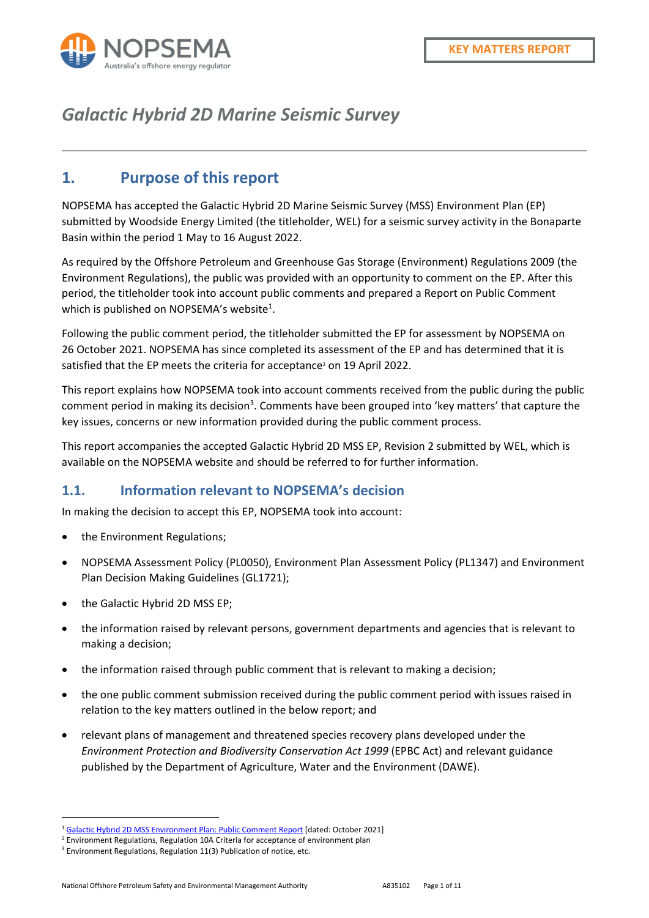

# *Galactic Hybrid 2D Marine Seismic Survey*

#### **1. Purpose of this report**

NOPSEMA has accepted the Galactic Hybrid 2D Marine Seismic Survey (MSS) Environment Plan (EP) submitted by Woodside Energy Limited (the titleholder, WEL) for a seismic survey activity in the Bonaparte Basin within the period 1 May to 16 August 2022.

As required by the Offshore Petroleum and Greenhouse Gas Storage (Environment) Regulations 2009 (the Environment Regulations), the public was provided with an opportunity to comment on the EP. After this period, the titleholder took into account public comments and prepared a Report on Public Comment which is published on NOPSEMA's website $^1$ .

Following the public comment period, the titleholder submitted the EP for assessment by NOPSEMA on 26 October 2021. NOPSEMA has since completed its assessment of the EP and has determined that it is satisfied that the EP meets the criteria for acceptance<sup>2</sup> on 19 April 2022.

This report explains how NOPSEMA took into account comments received from the public during the public comment period in making its decision<sup>3</sup>. Comments have been grouped into 'key matters' that capture the key issues, concerns or new information provided during the public comment process.

This report accompanies the accepted Galactic Hybrid 2D MSS EP, Revision 2 submitted by WEL, which is available on the NOPSEMA website and should be referred to for further information.

#### **1.1. Information relevant to NOPSEMA's decision**

In making the decision to accept this EP, NOPSEMA took into account:

- the Environment Regulations;
- NOPSEMA Assessment Policy (PL0050), Environment Plan Assessment Policy (PL1347) and Environment Plan Decision Making Guidelines (GL1721);
- the Galactic Hybrid 2D MSS EP;
- the information raised by relevant persons, government departments and agencies that is relevant to making a decision;
- the information raised through public comment that is relevant to making a decision;
- the one public comment submission received during the public comment period with issues raised in relation to the key matters outlined in the below report; and
- relevant plans of management and threatened species recovery plans developed under the *Environment Protection and Biodiversity Conservation Act 1999* (EPBC Act) and relevant guidance published by the Department of Agriculture, Water and the Environment (DAWE).

<sup>1</sup> Galactic Hybrid 2D MSS Environment Plan: Public Comment Report [dated: October 2021]

 $2$  Environment Regulations, Regulation 10A Criteria for acceptance of environment plan

<sup>&</sup>lt;sup>3</sup> Environment Regulations, Regulation 11(3) Publication of notice, etc.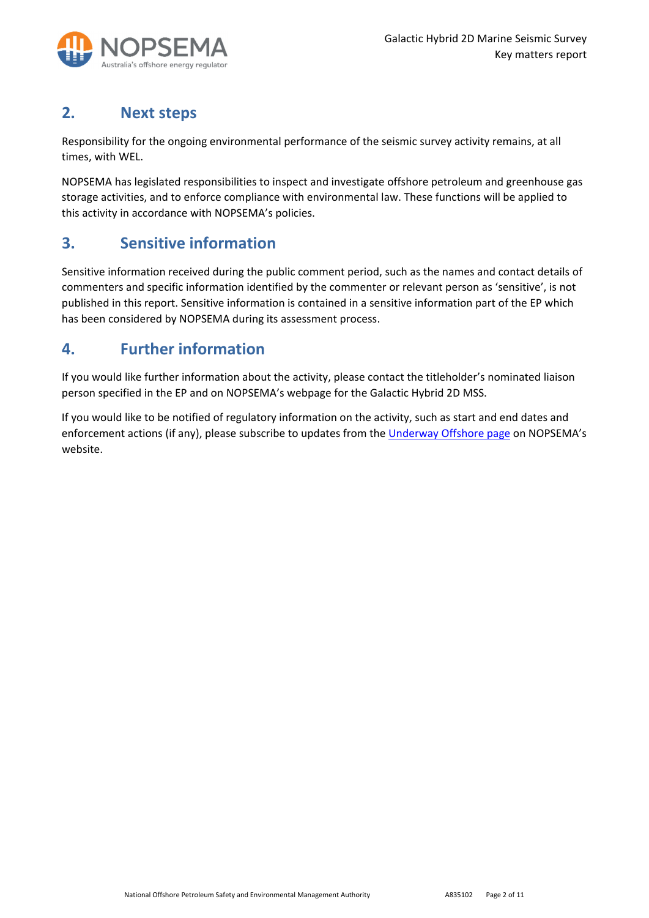

## **2. Next steps**

Responsibility for the ongoing environmental performance of the seismic survey activity remains, at all times, with WEL.

NOPSEMA has legislated responsibilities to inspect and investigate offshore petroleum and greenhouse gas storage activities, and to enforce compliance with environmental law. These functions will be applied to this activity in accordance with NOPSEMA's policies.

#### **3. Sensitive information**

Sensitive information received during the public comment period, such as the names and contact details of commenters and specific information identified by the commenter or relevant person as 'sensitive', is not published in this report. Sensitive information is contained in a sensitive information part of the EP which has been considered by NOPSEMA during its assessment process.

## **4. Further information**

If you would like further information about the activity, please contact the titleholder's nominated liaison person specified in the EP and on NOPSEMA's webpage for the Galactic Hybrid 2D MSS.

If you would like to be notified of regulatory information on the activity, such as start and end dates and enforcement actions (if any), please subscribe to updates from the Underway Offshore page on NOPSEMA's website.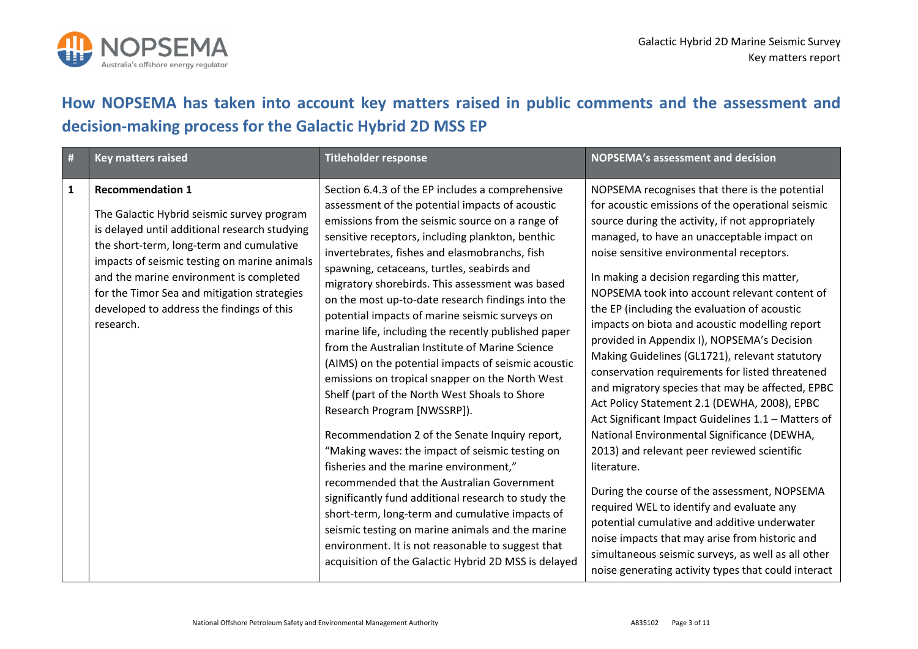

## **How NOPSEMA has taken into account key matters raised in public comments and the assessment and decision‐making process for the Galactic Hybrid 2D MSS EP**

| $\vert$ #    | <b>Key matters raised</b>                                                                                                                                                                                                                                                                                                                                              | <b>Titleholder response</b>                                                                                                                                                                                                                                                                                                                                                                                                                                                                                                                                                                                                                                                                                                                                                                                                                                                                                                                                                                                                                                                                                                                                                                                                                     | <b>NOPSEMA's assessment and decision</b>                                                                                                                                                                                                                                                                                                                                                                                                                                                                                                                                                                                                                                                                                                                                                                                                                                                                                                                                                                                                                                                                                                                                                   |
|--------------|------------------------------------------------------------------------------------------------------------------------------------------------------------------------------------------------------------------------------------------------------------------------------------------------------------------------------------------------------------------------|-------------------------------------------------------------------------------------------------------------------------------------------------------------------------------------------------------------------------------------------------------------------------------------------------------------------------------------------------------------------------------------------------------------------------------------------------------------------------------------------------------------------------------------------------------------------------------------------------------------------------------------------------------------------------------------------------------------------------------------------------------------------------------------------------------------------------------------------------------------------------------------------------------------------------------------------------------------------------------------------------------------------------------------------------------------------------------------------------------------------------------------------------------------------------------------------------------------------------------------------------|--------------------------------------------------------------------------------------------------------------------------------------------------------------------------------------------------------------------------------------------------------------------------------------------------------------------------------------------------------------------------------------------------------------------------------------------------------------------------------------------------------------------------------------------------------------------------------------------------------------------------------------------------------------------------------------------------------------------------------------------------------------------------------------------------------------------------------------------------------------------------------------------------------------------------------------------------------------------------------------------------------------------------------------------------------------------------------------------------------------------------------------------------------------------------------------------|
| $\mathbf{1}$ | <b>Recommendation 1</b><br>The Galactic Hybrid seismic survey program<br>is delayed until additional research studying<br>the short-term, long-term and cumulative<br>impacts of seismic testing on marine animals<br>and the marine environment is completed<br>for the Timor Sea and mitigation strategies<br>developed to address the findings of this<br>research. | Section 6.4.3 of the EP includes a comprehensive<br>assessment of the potential impacts of acoustic<br>emissions from the seismic source on a range of<br>sensitive receptors, including plankton, benthic<br>invertebrates, fishes and elasmobranchs, fish<br>spawning, cetaceans, turtles, seabirds and<br>migratory shorebirds. This assessment was based<br>on the most up-to-date research findings into the<br>potential impacts of marine seismic surveys on<br>marine life, including the recently published paper<br>from the Australian Institute of Marine Science<br>(AIMS) on the potential impacts of seismic acoustic<br>emissions on tropical snapper on the North West<br>Shelf (part of the North West Shoals to Shore<br>Research Program [NWSSRP]).<br>Recommendation 2 of the Senate Inquiry report,<br>"Making waves: the impact of seismic testing on<br>fisheries and the marine environment,"<br>recommended that the Australian Government<br>significantly fund additional research to study the<br>short-term, long-term and cumulative impacts of<br>seismic testing on marine animals and the marine<br>environment. It is not reasonable to suggest that<br>acquisition of the Galactic Hybrid 2D MSS is delayed | NOPSEMA recognises that there is the potential<br>for acoustic emissions of the operational seismic<br>source during the activity, if not appropriately<br>managed, to have an unacceptable impact on<br>noise sensitive environmental receptors.<br>In making a decision regarding this matter,<br>NOPSEMA took into account relevant content of<br>the EP (including the evaluation of acoustic<br>impacts on biota and acoustic modelling report<br>provided in Appendix I), NOPSEMA's Decision<br>Making Guidelines (GL1721), relevant statutory<br>conservation requirements for listed threatened<br>and migratory species that may be affected, EPBC<br>Act Policy Statement 2.1 (DEWHA, 2008), EPBC<br>Act Significant Impact Guidelines 1.1 - Matters of<br>National Environmental Significance (DEWHA,<br>2013) and relevant peer reviewed scientific<br>literature.<br>During the course of the assessment, NOPSEMA<br>required WEL to identify and evaluate any<br>potential cumulative and additive underwater<br>noise impacts that may arise from historic and<br>simultaneous seismic surveys, as well as all other<br>noise generating activity types that could interact |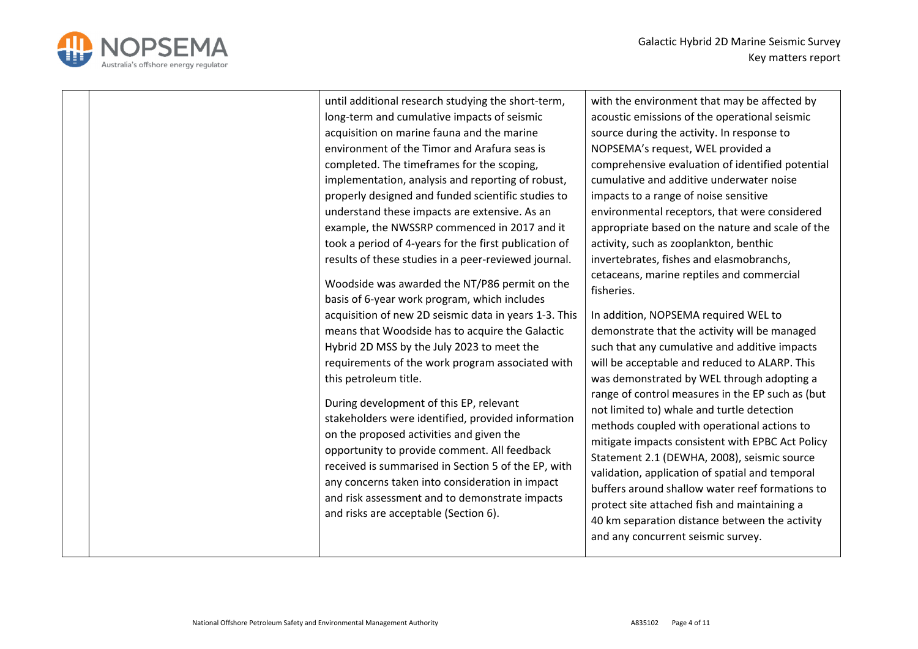



|  | until additional research studying the short-term,<br>long-term and cumulative impacts of seismic<br>acquisition on marine fauna and the marine<br>environment of the Timor and Arafura seas is<br>completed. The timeframes for the scoping,<br>implementation, analysis and reporting of robust,<br>properly designed and funded scientific studies to<br>understand these impacts are extensive. As an<br>example, the NWSSRP commenced in 2017 and it<br>took a period of 4-years for the first publication of<br>results of these studies in a peer-reviewed journal.<br>Woodside was awarded the NT/P86 permit on the<br>basis of 6-year work program, which includes<br>acquisition of new 2D seismic data in years 1-3. This<br>means that Woodside has to acquire the Galactic<br>Hybrid 2D MSS by the July 2023 to meet the<br>requirements of the work program associated with<br>this petroleum title.<br>During development of this EP, relevant<br>stakeholders were identified, provided information<br>on the proposed activities and given the<br>opportunity to provide comment. All feedback<br>received is summarised in Section 5 of the EP, with | with the environment that may be affected by<br>acoustic emissions of the operational seismic<br>source during the activity. In response to<br>NOPSEMA's request, WEL provided a<br>comprehensive evaluation of identified potential<br>cumulative and additive underwater noise<br>impacts to a range of noise sensitive<br>environmental receptors, that were considered<br>appropriate based on the nature and scale of the<br>activity, such as zooplankton, benthic<br>invertebrates, fishes and elasmobranchs,<br>cetaceans, marine reptiles and commercial<br>fisheries.<br>In addition, NOPSEMA required WEL to<br>demonstrate that the activity will be managed<br>such that any cumulative and additive impacts<br>will be acceptable and reduced to ALARP. This<br>was demonstrated by WEL through adopting a<br>range of control measures in the EP such as (but<br>not limited to) whale and turtle detection<br>methods coupled with operational actions to<br>Statement 2.1 (DEWHA, 2008), seismic source<br>validation, application of spatial and temporal |
|--|------------------------------------------------------------------------------------------------------------------------------------------------------------------------------------------------------------------------------------------------------------------------------------------------------------------------------------------------------------------------------------------------------------------------------------------------------------------------------------------------------------------------------------------------------------------------------------------------------------------------------------------------------------------------------------------------------------------------------------------------------------------------------------------------------------------------------------------------------------------------------------------------------------------------------------------------------------------------------------------------------------------------------------------------------------------------------------------------------------------------------------------------------------------------|-----------------------------------------------------------------------------------------------------------------------------------------------------------------------------------------------------------------------------------------------------------------------------------------------------------------------------------------------------------------------------------------------------------------------------------------------------------------------------------------------------------------------------------------------------------------------------------------------------------------------------------------------------------------------------------------------------------------------------------------------------------------------------------------------------------------------------------------------------------------------------------------------------------------------------------------------------------------------------------------------------------------------------------------------------------------------------|
|  | any concerns taken into consideration in impact<br>and risk assessment and to demonstrate impacts<br>and risks are acceptable (Section 6).                                                                                                                                                                                                                                                                                                                                                                                                                                                                                                                                                                                                                                                                                                                                                                                                                                                                                                                                                                                                                             | mitigate impacts consistent with EPBC Act Policy<br>buffers around shallow water reef formations to<br>protect site attached fish and maintaining a<br>40 km separation distance between the activity<br>and any concurrent seismic survey.                                                                                                                                                                                                                                                                                                                                                                                                                                                                                                                                                                                                                                                                                                                                                                                                                                 |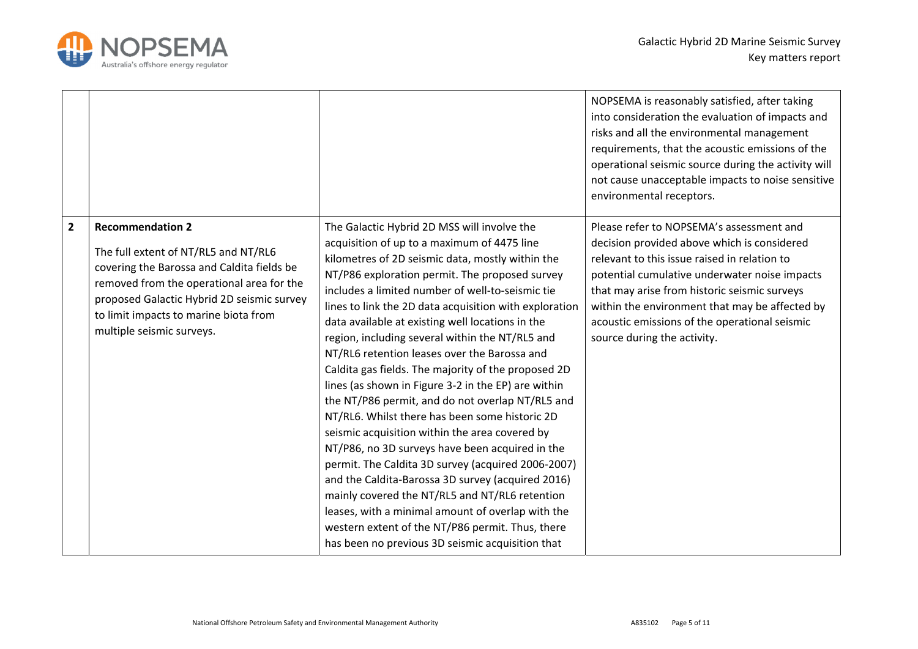

|              |                                                                                                                                                                                                                                                                                |                                                                                                                                                                                                                                                                                                                                                                                                                                                                                                                                                                                                                                                                                                                                                                                                                                                                                                                                                                                                                                                                                                                          | NOPSEMA is reasonably satisfied, after taking<br>into consideration the evaluation of impacts and<br>risks and all the environmental management<br>requirements, that the acoustic emissions of the<br>operational seismic source during the activity will<br>not cause unacceptable impacts to noise sensitive<br>environmental receptors.                                |
|--------------|--------------------------------------------------------------------------------------------------------------------------------------------------------------------------------------------------------------------------------------------------------------------------------|--------------------------------------------------------------------------------------------------------------------------------------------------------------------------------------------------------------------------------------------------------------------------------------------------------------------------------------------------------------------------------------------------------------------------------------------------------------------------------------------------------------------------------------------------------------------------------------------------------------------------------------------------------------------------------------------------------------------------------------------------------------------------------------------------------------------------------------------------------------------------------------------------------------------------------------------------------------------------------------------------------------------------------------------------------------------------------------------------------------------------|----------------------------------------------------------------------------------------------------------------------------------------------------------------------------------------------------------------------------------------------------------------------------------------------------------------------------------------------------------------------------|
| $\mathbf{2}$ | <b>Recommendation 2</b><br>The full extent of NT/RL5 and NT/RL6<br>covering the Barossa and Caldita fields be<br>removed from the operational area for the<br>proposed Galactic Hybrid 2D seismic survey<br>to limit impacts to marine biota from<br>multiple seismic surveys. | The Galactic Hybrid 2D MSS will involve the<br>acquisition of up to a maximum of 4475 line<br>kilometres of 2D seismic data, mostly within the<br>NT/P86 exploration permit. The proposed survey<br>includes a limited number of well-to-seismic tie<br>lines to link the 2D data acquisition with exploration<br>data available at existing well locations in the<br>region, including several within the NT/RL5 and<br>NT/RL6 retention leases over the Barossa and<br>Caldita gas fields. The majority of the proposed 2D<br>lines (as shown in Figure 3-2 in the EP) are within<br>the NT/P86 permit, and do not overlap NT/RL5 and<br>NT/RL6. Whilst there has been some historic 2D<br>seismic acquisition within the area covered by<br>NT/P86, no 3D surveys have been acquired in the<br>permit. The Caldita 3D survey (acquired 2006-2007)<br>and the Caldita-Barossa 3D survey (acquired 2016)<br>mainly covered the NT/RL5 and NT/RL6 retention<br>leases, with a minimal amount of overlap with the<br>western extent of the NT/P86 permit. Thus, there<br>has been no previous 3D seismic acquisition that | Please refer to NOPSEMA's assessment and<br>decision provided above which is considered<br>relevant to this issue raised in relation to<br>potential cumulative underwater noise impacts<br>that may arise from historic seismic surveys<br>within the environment that may be affected by<br>acoustic emissions of the operational seismic<br>source during the activity. |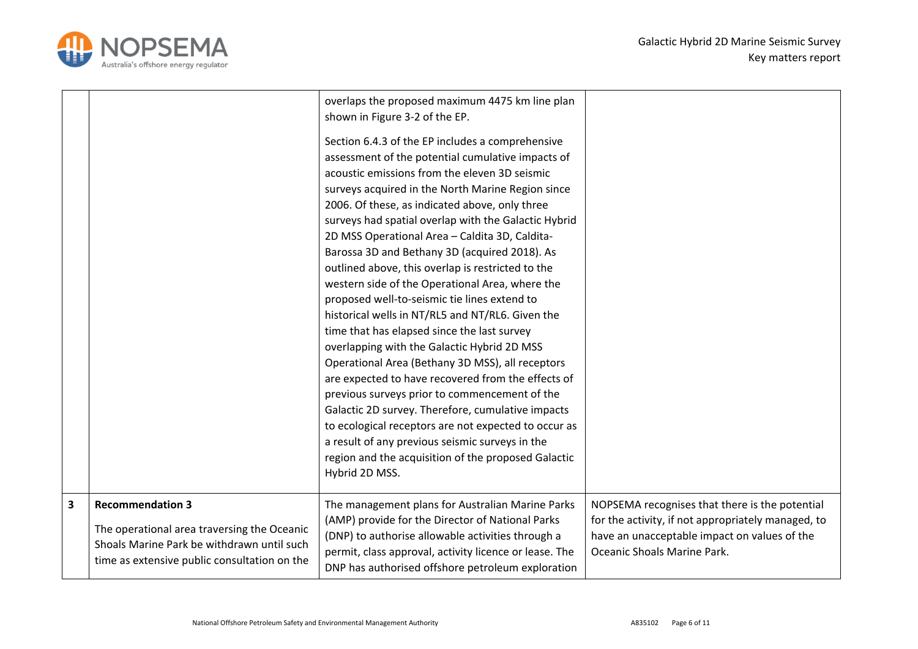

|   |                                                                                                                                                                      | overlaps the proposed maximum 4475 km line plan<br>shown in Figure 3-2 of the EP.<br>Section 6.4.3 of the EP includes a comprehensive<br>assessment of the potential cumulative impacts of<br>acoustic emissions from the eleven 3D seismic<br>surveys acquired in the North Marine Region since<br>2006. Of these, as indicated above, only three<br>surveys had spatial overlap with the Galactic Hybrid<br>2D MSS Operational Area - Caldita 3D, Caldita-<br>Barossa 3D and Bethany 3D (acquired 2018). As<br>outlined above, this overlap is restricted to the<br>western side of the Operational Area, where the<br>proposed well-to-seismic tie lines extend to<br>historical wells in NT/RL5 and NT/RL6. Given the<br>time that has elapsed since the last survey<br>overlapping with the Galactic Hybrid 2D MSS<br>Operational Area (Bethany 3D MSS), all receptors<br>are expected to have recovered from the effects of<br>previous surveys prior to commencement of the<br>Galactic 2D survey. Therefore, cumulative impacts<br>to ecological receptors are not expected to occur as<br>a result of any previous seismic surveys in the<br>region and the acquisition of the proposed Galactic<br>Hybrid 2D MSS. |                                                                                                                                                                                     |
|---|----------------------------------------------------------------------------------------------------------------------------------------------------------------------|-----------------------------------------------------------------------------------------------------------------------------------------------------------------------------------------------------------------------------------------------------------------------------------------------------------------------------------------------------------------------------------------------------------------------------------------------------------------------------------------------------------------------------------------------------------------------------------------------------------------------------------------------------------------------------------------------------------------------------------------------------------------------------------------------------------------------------------------------------------------------------------------------------------------------------------------------------------------------------------------------------------------------------------------------------------------------------------------------------------------------------------------------------------------------------------------------------------------------------|-------------------------------------------------------------------------------------------------------------------------------------------------------------------------------------|
| 3 | <b>Recommendation 3</b><br>The operational area traversing the Oceanic<br>Shoals Marine Park be withdrawn until such<br>time as extensive public consultation on the | The management plans for Australian Marine Parks<br>(AMP) provide for the Director of National Parks<br>(DNP) to authorise allowable activities through a<br>permit, class approval, activity licence or lease. The<br>DNP has authorised offshore petroleum exploration                                                                                                                                                                                                                                                                                                                                                                                                                                                                                                                                                                                                                                                                                                                                                                                                                                                                                                                                                    | NOPSEMA recognises that there is the potential<br>for the activity, if not appropriately managed, to<br>have an unacceptable impact on values of the<br>Oceanic Shoals Marine Park. |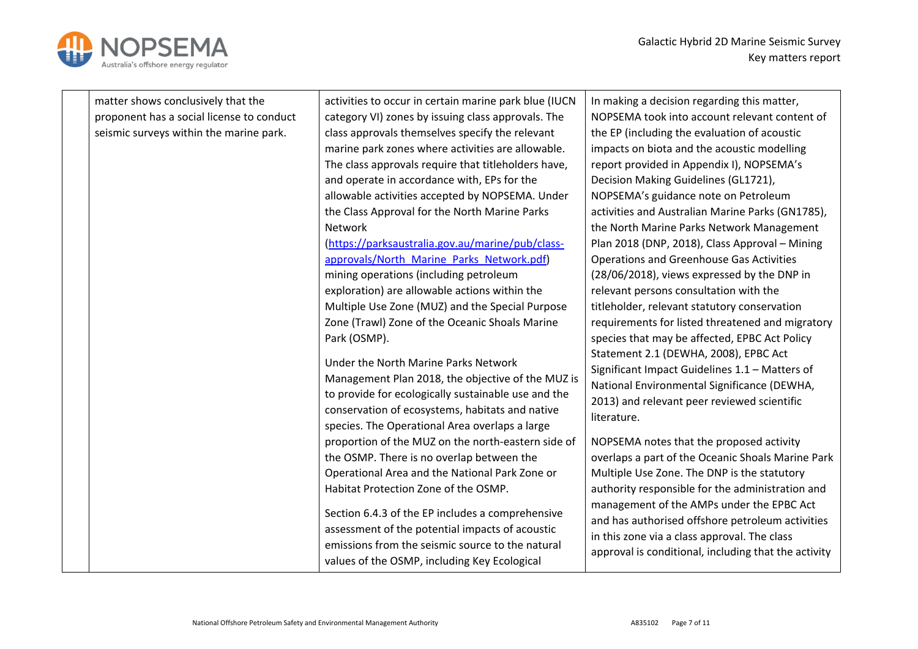

| matter shows conclusively that the        | activities to occur in certain marine park blue (IUCN | In making a decision regarding this matter,          |
|-------------------------------------------|-------------------------------------------------------|------------------------------------------------------|
| proponent has a social license to conduct | category VI) zones by issuing class approvals. The    | NOPSEMA took into account relevant content of        |
| seismic surveys within the marine park.   | class approvals themselves specify the relevant       | the EP (including the evaluation of acoustic         |
|                                           | marine park zones where activities are allowable.     | impacts on biota and the acoustic modelling          |
|                                           | The class approvals require that titleholders have,   | report provided in Appendix I), NOPSEMA's            |
|                                           | and operate in accordance with, EPs for the           | Decision Making Guidelines (GL1721),                 |
|                                           | allowable activities accepted by NOPSEMA. Under       | NOPSEMA's guidance note on Petroleum                 |
|                                           | the Class Approval for the North Marine Parks         | activities and Australian Marine Parks (GN1785),     |
|                                           | Network                                               | the North Marine Parks Network Management            |
|                                           | (https://parksaustralia.gov.au/marine/pub/class-      | Plan 2018 (DNP, 2018), Class Approval - Mining       |
|                                           | approvals/North Marine Parks Network.pdf)             | <b>Operations and Greenhouse Gas Activities</b>      |
|                                           | mining operations (including petroleum                | (28/06/2018), views expressed by the DNP in          |
|                                           | exploration) are allowable actions within the         | relevant persons consultation with the               |
|                                           | Multiple Use Zone (MUZ) and the Special Purpose       | titleholder, relevant statutory conservation         |
|                                           | Zone (Trawl) Zone of the Oceanic Shoals Marine        | requirements for listed threatened and migratory     |
|                                           | Park (OSMP).                                          | species that may be affected, EPBC Act Policy        |
|                                           | Under the North Marine Parks Network                  | Statement 2.1 (DEWHA, 2008), EPBC Act                |
|                                           | Management Plan 2018, the objective of the MUZ is     | Significant Impact Guidelines 1.1 - Matters of       |
|                                           | to provide for ecologically sustainable use and the   | National Environmental Significance (DEWHA,          |
|                                           | conservation of ecosystems, habitats and native       | 2013) and relevant peer reviewed scientific          |
|                                           | species. The Operational Area overlaps a large        | literature.                                          |
|                                           | proportion of the MUZ on the north-eastern side of    | NOPSEMA notes that the proposed activity             |
|                                           | the OSMP. There is no overlap between the             | overlaps a part of the Oceanic Shoals Marine Park    |
|                                           | Operational Area and the National Park Zone or        | Multiple Use Zone. The DNP is the statutory          |
|                                           | Habitat Protection Zone of the OSMP.                  | authority responsible for the administration and     |
|                                           |                                                       | management of the AMPs under the EPBC Act            |
|                                           | Section 6.4.3 of the EP includes a comprehensive      | and has authorised offshore petroleum activities     |
|                                           | assessment of the potential impacts of acoustic       | in this zone via a class approval. The class         |
|                                           | emissions from the seismic source to the natural      | approval is conditional, including that the activity |
|                                           | values of the OSMP, including Key Ecological          |                                                      |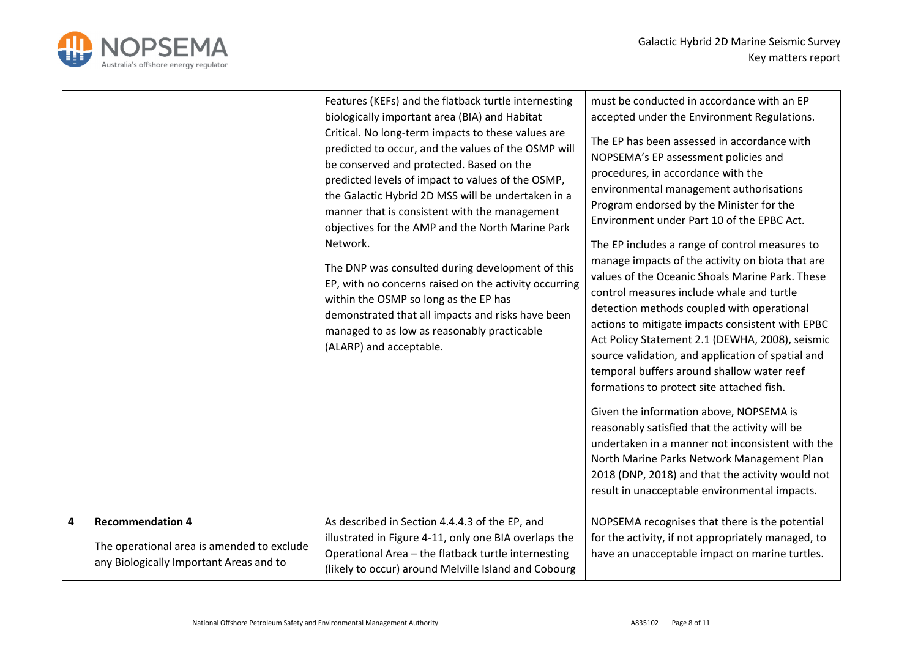



|   |                                                                                                                  | Features (KEFs) and the flatback turtle internesting<br>biologically important area (BIA) and Habitat<br>Critical. No long-term impacts to these values are<br>predicted to occur, and the values of the OSMP will<br>be conserved and protected. Based on the<br>predicted levels of impact to values of the OSMP,<br>the Galactic Hybrid 2D MSS will be undertaken in a<br>manner that is consistent with the management<br>objectives for the AMP and the North Marine Park<br>Network.<br>The DNP was consulted during development of this<br>EP, with no concerns raised on the activity occurring<br>within the OSMP so long as the EP has<br>demonstrated that all impacts and risks have been<br>managed to as low as reasonably practicable<br>(ALARP) and acceptable. | must be conducted in accordance with an EP<br>accepted under the Environment Regulations.<br>The EP has been assessed in accordance with<br>NOPSEMA's EP assessment policies and<br>procedures, in accordance with the<br>environmental management authorisations<br>Program endorsed by the Minister for the<br>Environment under Part 10 of the EPBC Act.<br>The EP includes a range of control measures to<br>manage impacts of the activity on biota that are<br>values of the Oceanic Shoals Marine Park. These<br>control measures include whale and turtle<br>detection methods coupled with operational<br>actions to mitigate impacts consistent with EPBC<br>Act Policy Statement 2.1 (DEWHA, 2008), seismic<br>source validation, and application of spatial and<br>temporal buffers around shallow water reef<br>formations to protect site attached fish.<br>Given the information above, NOPSEMA is<br>reasonably satisfied that the activity will be<br>undertaken in a manner not inconsistent with the<br>North Marine Parks Network Management Plan<br>2018 (DNP, 2018) and that the activity would not<br>result in unacceptable environmental impacts. |
|---|------------------------------------------------------------------------------------------------------------------|---------------------------------------------------------------------------------------------------------------------------------------------------------------------------------------------------------------------------------------------------------------------------------------------------------------------------------------------------------------------------------------------------------------------------------------------------------------------------------------------------------------------------------------------------------------------------------------------------------------------------------------------------------------------------------------------------------------------------------------------------------------------------------|----------------------------------------------------------------------------------------------------------------------------------------------------------------------------------------------------------------------------------------------------------------------------------------------------------------------------------------------------------------------------------------------------------------------------------------------------------------------------------------------------------------------------------------------------------------------------------------------------------------------------------------------------------------------------------------------------------------------------------------------------------------------------------------------------------------------------------------------------------------------------------------------------------------------------------------------------------------------------------------------------------------------------------------------------------------------------------------------------------------------------------------------------------------------------|
| 4 | <b>Recommendation 4</b><br>The operational area is amended to exclude<br>any Biologically Important Areas and to | As described in Section 4.4.4.3 of the EP, and<br>illustrated in Figure 4-11, only one BIA overlaps the<br>Operational Area - the flatback turtle internesting<br>(likely to occur) around Melville Island and Cobourg                                                                                                                                                                                                                                                                                                                                                                                                                                                                                                                                                          | NOPSEMA recognises that there is the potential<br>for the activity, if not appropriately managed, to<br>have an unacceptable impact on marine turtles.                                                                                                                                                                                                                                                                                                                                                                                                                                                                                                                                                                                                                                                                                                                                                                                                                                                                                                                                                                                                                     |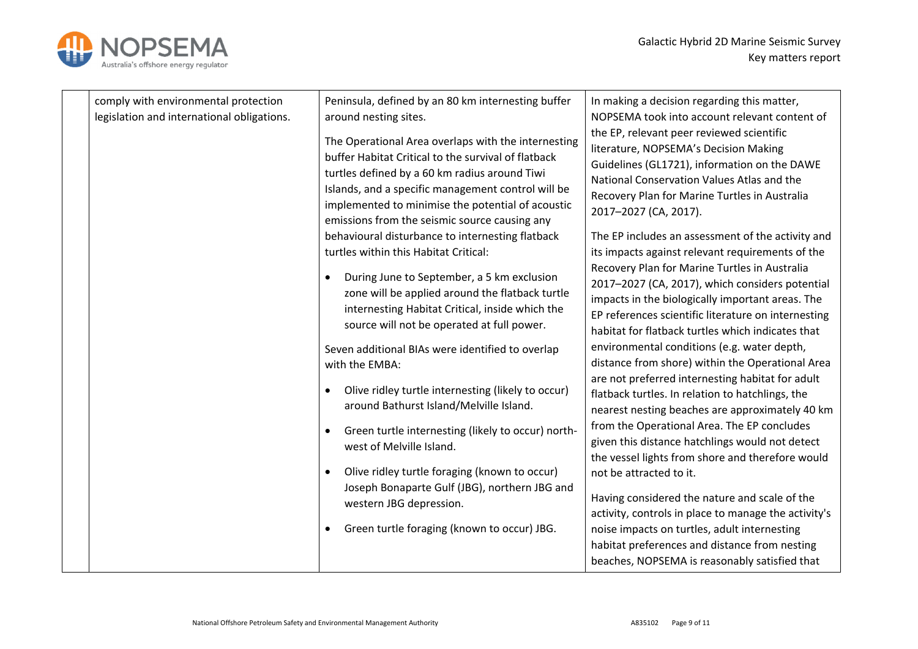

| comply with environmental protection<br>legislation and international obligations. | Peninsula, defined by an 80 km internesting buffer<br>around nesting sites.<br>The Operational Area overlaps with the internesting<br>buffer Habitat Critical to the survival of flatback<br>turtles defined by a 60 km radius around Tiwi<br>Islands, and a specific management control will be<br>implemented to minimise the potential of acoustic<br>emissions from the seismic source causing any<br>behavioural disturbance to internesting flatback<br>turtles within this Habitat Critical:<br>During June to September, a 5 km exclusion<br>٠<br>zone will be applied around the flatback turtle<br>internesting Habitat Critical, inside which the<br>source will not be operated at full power.<br>Seven additional BIAs were identified to overlap<br>with the EMBA:<br>Olive ridley turtle internesting (likely to occur)<br>$\bullet$<br>around Bathurst Island/Melville Island.<br>Green turtle internesting (likely to occur) north-<br>west of Melville Island.<br>Olive ridley turtle foraging (known to occur)<br>Joseph Bonaparte Gulf (JBG), northern JBG and<br>western JBG depression.<br>Green turtle foraging (known to occur) JBG.<br>٠ | In making a decision regarding this matter,<br>NOPSEMA took into account relevant content of<br>the EP, relevant peer reviewed scientific<br>literature, NOPSEMA's Decision Making<br>Guidelines (GL1721), information on the DAWE<br>National Conservation Values Atlas and the<br>Recovery Plan for Marine Turtles in Australia<br>2017-2027 (CA, 2017).<br>The EP includes an assessment of the activity and<br>its impacts against relevant requirements of the<br>Recovery Plan for Marine Turtles in Australia<br>2017-2027 (CA, 2017), which considers potential<br>impacts in the biologically important areas. The<br>EP references scientific literature on internesting<br>habitat for flatback turtles which indicates that<br>environmental conditions (e.g. water depth,<br>distance from shore) within the Operational Area<br>are not preferred internesting habitat for adult<br>flatback turtles. In relation to hatchlings, the<br>nearest nesting beaches are approximately 40 km<br>from the Operational Area. The EP concludes<br>given this distance hatchlings would not detect<br>the vessel lights from shore and therefore would<br>not be attracted to it.<br>Having considered the nature and scale of the<br>activity, controls in place to manage the activity's<br>noise impacts on turtles, adult internesting<br>habitat preferences and distance from nesting<br>beaches, NOPSEMA is reasonably satisfied that |
|------------------------------------------------------------------------------------|-------------------------------------------------------------------------------------------------------------------------------------------------------------------------------------------------------------------------------------------------------------------------------------------------------------------------------------------------------------------------------------------------------------------------------------------------------------------------------------------------------------------------------------------------------------------------------------------------------------------------------------------------------------------------------------------------------------------------------------------------------------------------------------------------------------------------------------------------------------------------------------------------------------------------------------------------------------------------------------------------------------------------------------------------------------------------------------------------------------------------------------------------------------------|---------------------------------------------------------------------------------------------------------------------------------------------------------------------------------------------------------------------------------------------------------------------------------------------------------------------------------------------------------------------------------------------------------------------------------------------------------------------------------------------------------------------------------------------------------------------------------------------------------------------------------------------------------------------------------------------------------------------------------------------------------------------------------------------------------------------------------------------------------------------------------------------------------------------------------------------------------------------------------------------------------------------------------------------------------------------------------------------------------------------------------------------------------------------------------------------------------------------------------------------------------------------------------------------------------------------------------------------------------------------------------------------------------------------------------------------------|
|------------------------------------------------------------------------------------|-------------------------------------------------------------------------------------------------------------------------------------------------------------------------------------------------------------------------------------------------------------------------------------------------------------------------------------------------------------------------------------------------------------------------------------------------------------------------------------------------------------------------------------------------------------------------------------------------------------------------------------------------------------------------------------------------------------------------------------------------------------------------------------------------------------------------------------------------------------------------------------------------------------------------------------------------------------------------------------------------------------------------------------------------------------------------------------------------------------------------------------------------------------------|---------------------------------------------------------------------------------------------------------------------------------------------------------------------------------------------------------------------------------------------------------------------------------------------------------------------------------------------------------------------------------------------------------------------------------------------------------------------------------------------------------------------------------------------------------------------------------------------------------------------------------------------------------------------------------------------------------------------------------------------------------------------------------------------------------------------------------------------------------------------------------------------------------------------------------------------------------------------------------------------------------------------------------------------------------------------------------------------------------------------------------------------------------------------------------------------------------------------------------------------------------------------------------------------------------------------------------------------------------------------------------------------------------------------------------------------------|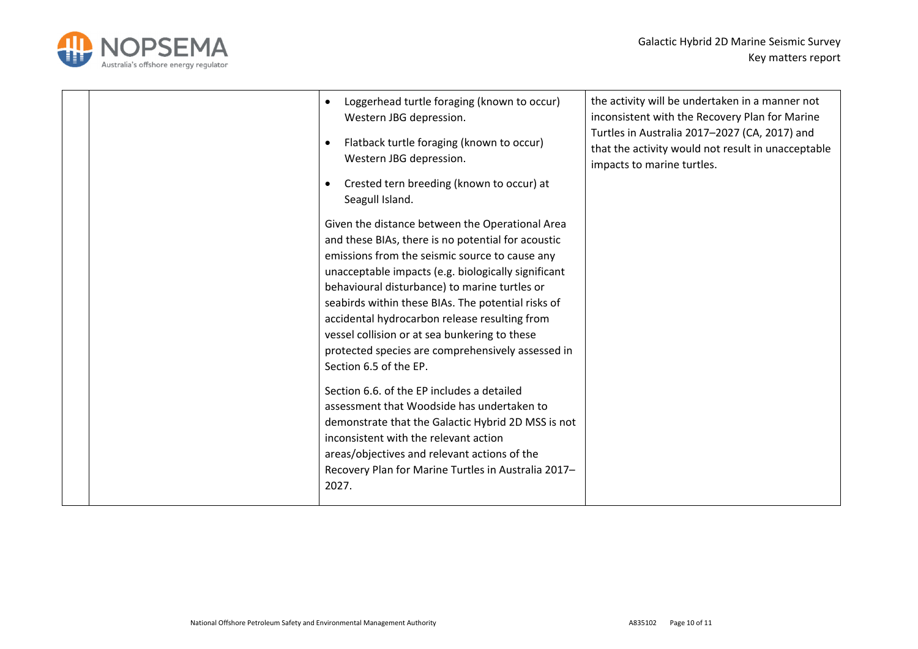

|  | Loggerhead turtle foraging (known to occur)<br>$\bullet$<br>Western JBG depression.<br>Flatback turtle foraging (known to occur)<br>$\bullet$<br>Western JBG depression.<br>Crested tern breeding (known to occur) at<br>Seagull Island.                                                                                                                                                                                                                                                                                                                                                                                                                                                                                                                                                                          | the activity will be undertaken in a manner not<br>inconsistent with the Recovery Plan for Marine<br>Turtles in Australia 2017-2027 (CA, 2017) and<br>that the activity would not result in unacceptable<br>impacts to marine turtles. |
|--|-------------------------------------------------------------------------------------------------------------------------------------------------------------------------------------------------------------------------------------------------------------------------------------------------------------------------------------------------------------------------------------------------------------------------------------------------------------------------------------------------------------------------------------------------------------------------------------------------------------------------------------------------------------------------------------------------------------------------------------------------------------------------------------------------------------------|----------------------------------------------------------------------------------------------------------------------------------------------------------------------------------------------------------------------------------------|
|  | Given the distance between the Operational Area<br>and these BIAs, there is no potential for acoustic<br>emissions from the seismic source to cause any<br>unacceptable impacts (e.g. biologically significant<br>behavioural disturbance) to marine turtles or<br>seabirds within these BIAs. The potential risks of<br>accidental hydrocarbon release resulting from<br>vessel collision or at sea bunkering to these<br>protected species are comprehensively assessed in<br>Section 6.5 of the EP.<br>Section 6.6, of the EP includes a detailed<br>assessment that Woodside has undertaken to<br>demonstrate that the Galactic Hybrid 2D MSS is not<br>inconsistent with the relevant action<br>areas/objectives and relevant actions of the<br>Recovery Plan for Marine Turtles in Australia 2017-<br>2027. |                                                                                                                                                                                                                                        |